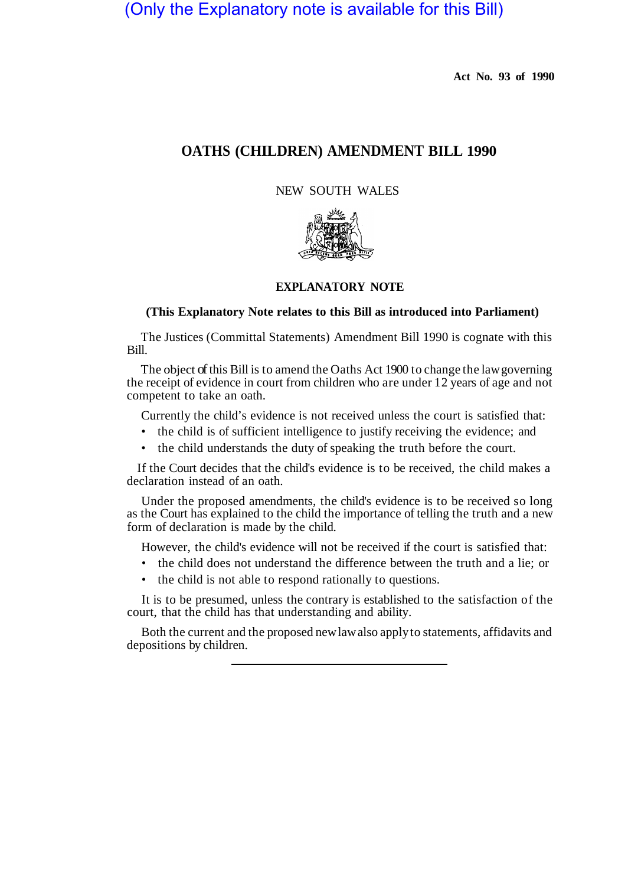## (Only the Explanatory note is available for this Bill)

**Act No. 93 of 1990** 

## **OATHS (CHILDREN) AMENDMENT BILL 1990**

NEW SOUTH WALES



## **EXPLANATORY NOTE**

## **(This Explanatory Note relates to this Bill as introduced into Parliament)**

The Justices (Committal Statements) Amendment Bill 1990 is cognate with this Bill.

The object of this Bill is to amend the Oaths Act 1900 to change the law governing the receipt of evidence in court from children who are under 12 years of age and not competent to take an oath.

Currently the child's evidence is not received unless the court is satisfied that:

- the child is of sufficient intelligence to justify receiving the evidence; and
- the child understands the duty of speaking the truth before the court.

If the Court decides that the child's evidence is to be received, the child makes a declaration instead of an oath.

Under the proposed amendments, the child's evidence is to be received so long as the Court has explained to the child the importance of telling the truth and a new form of declaration is made by the child.

However, the child's evidence will not be received if the court is satisfied that:

- the child does not understand the difference between the truth and a lie; or
- the child is not able to respond rationally to questions.

It is to be presumed, unless the contrary is established to the satisfaction of the court, that the child has that understanding and ability.

Both the current and the proposed new law also apply to statements, affidavits and depositions by children.